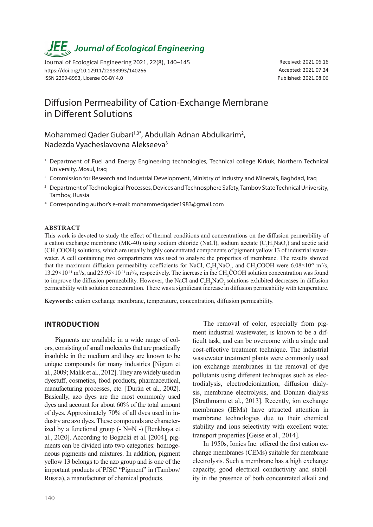# *JEE<sub>,</sub> Journal of Ecological Engineering*

Journal of Ecological Engineering 2021, 22(8), 140–145 https://doi.org/10.12911/22998993/140266 ISSN 2299-8993, License CC-BY 4.0

Received: 2021.06.16 Accepted: 2021.07.24 Published: 2021.08.06

# Diffusion Permeability of Cation-Exchange Membrane in Different Solutions

Mohammed Qader Gubari<sup>1,3\*</sup>, Abdullah Adnan Abdulkarim<sup>2</sup>, Nadezda Vyacheslavovna Alekseeva3

- <sup>1</sup> Department of Fuel and Energy Engineering technologies, Technical college Kirkuk, Northern Technical University, Mosul, Iraq
- <sup>2</sup> Commission for Research and Industrial Development, Ministry of Industry and Minerals, Baghdad, Iraq
- <sup>3</sup> Department of Technological Processes, Devices and Technosphere Safety, Tambov State Technical University, Tambov, Russia
- \* Corresponding author's e-mail: mohammedqader1983@gmail.com

#### **ABSTRACT**

This work is devoted to study the effect of thermal conditions and concentrations on the diffusion permeability of a cation exchange membrane (MK-40) using sodium chloride (NaCl), sodium acetate  $(C_2H_3NaO_2)$  and acetic acid (CH<sub>3</sub>COOH) solutions, which are usually highly concentrated components of pigment yellow 13 of industrial wastewater. A cell containing two compartments was used to analyze the properties of membrane. The results showed that the maximum diffusion permeability coefficients for NaCl,  $C_2H_3NaO_2$ , and CH<sub>3</sub>COOH were 6.08×10<sup>-9</sup> m<sup>2</sup>/s,  $13.29 \times 10^{-11}$  m<sup>2</sup>/s, and  $25.95 \times 10^{-11}$  m<sup>2</sup>/s, respectively. The increase in the CH<sub>3</sub>COOH solution concentration was found to improve the diffusion permeability. However, the NaCl and  $C_2H_3NaO_2$  solutions exhibited decreases in diffusion permeability with solution concentration. There was a significant increase in diffusion permeability with temperature.

**Keywords:** cation exchange membrane, temperature, concentration, diffusion permeability.

### **INTRODUCTION**

Pigments are available in a wide range of colors, consisting of small molecules that are practically insoluble in the medium and they are known to be unique compounds for many industries [Nigam et al., 2009; Malik et al., 2012]. They are widely used in dyestuff, cosmetics, food products, pharmaceutical, manufacturing processes, etc. [Durán et al., 2002]. Basically, azo dyes are the most commonly used dyes and account for about 60% of the total amount of dyes. Approximately 70% of all dyes used in industry are azo dyes. These compounds are characterized by a functional group (- N=N -) [Benkhaya et al., 2020]. According to Bogacki et al. [2004], pigments can be divided into two categories: homogeneous pigments and mixtures. In addition, pigment yellow 13 belongs to the azo group and is one of the important products of PJSC "Pigment" in (Tambov/ Russia), a manufacturer of chemical products.

The removal of color, especially from pigment industrial wastewater, is known to be a difficult task, and can be overcome with a single and cost-effective treatment technique. The industrial wastewater treatment plants were commonly used ion exchange membranes in the removal of dye pollutants using different techniques such as electrodialysis, electrodeionization, diffusion dialysis, membrane electrolysis, and Donnan dialysis [Strathmann et al., 2013]. Recently, ion exchange membranes (IEMs) have attracted attention in membrane technologies due to their chemical stability and ions selectivity with excellent water transport properties [Geise et al., 2014].

In 1950s, Ionics Inc. offered the first cation exchange membranes (CEMs) suitable for membrane electrolysis. Such a membrane has a high exchange capacity, good electrical conductivity and stability in the presence of both concentrated alkali and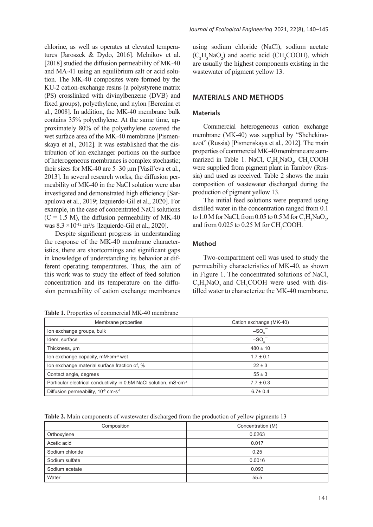chlorine, as well as operates at elevated temperatures [Jaroszek & Dydo, 2016]. Melnikov et al. [2018] studied the diffusion permeability of MK-40 and MA-41 using an equilibrium salt or acid solution. The MK-40 composites were formed by the KU-2 cation-exchange resins (a polystyrene matrix (PS) crosslinked with divinylbenzene (DVB) and fixed groups), polyethylene, and nylon [Berezina et al., 2008]. In addition, the MK-40 membrane bulk contains 35% polyethylene. At the same time, approximately 80% of the polyethylene covered the wet surface area of the MK-40 membrane [Pismenskaya et al., 2012]. It was established that the distribution of ion exchanger portions on the surface of heterogeneous membranes is complex stochastic; their sizes for MK-40 are 5–30 µm [Vasil'eva et al., 2013]. In several research works, the diffusion permeability of MK-40 in the NaCl solution were also investigated and demonstrated high efficiency [Sarapulova et al., 2019; Izquierdo-Gil et al., 2020]. For example, in the case of concentrated NaCl solutions  $(C = 1.5$  M), the diffusion permeability of MK-40 was  $8.3 \times 10^{-12}$  m<sup>2</sup>/s [Izquierdo-Gil et al., 2020].

Despite significant progress in understanding the response of the MK-40 membrane characteristics, there are shortcomings and significant gaps in knowledge of understanding its behavior at different operating temperatures. Thus, the aim of this work was to study the effect of feed solution concentration and its temperature on the diffusion permeability of cation exchange membranes

**Table 1.** Properties of commercial MK-40 membrane

using sodium chloride (NaCl), sodium acetate  $(C_2H_3NaO_2)$  and acetic acid (CH<sub>3</sub>COOH), which are usually the highest components existing in the wastewater of pigment yellow 13.

### **MATERIALS AND METHODS**

#### **Materials**

Commercial heterogeneous cation exchange membrane (MK-40) was supplied by "Shchekinoazot" (Russia) [Pismenskaya et al., 2012]. The main properties of commercial MK-40 membrane are summarized in Table 1. NaCl,  $C_2H_3NaO_2$ , CH<sub>3</sub>COOH were supplied from pigment plant in Tambov (Russia) and used as received. Table 2 shows the main composition of wastewater discharged during the production of pigment yellow 13.

The initial feed solutions were prepared using distilled water in the concentration ranged from 0.1 to  $1.0$  M for NaCl, from 0.05 to 0.5 M for  $C_2H_3NaO_2$ , and from  $0.025$  to  $0.25$  M for CH<sub>3</sub>COOH.

#### **Method**

Two-compartment cell was used to study the permeability characteristics of MK-40, as shown in Figure 1. The concentrated solutions of NaCl,  $C_2H_3NaO_2$  and CH<sub>3</sub>COOH were used with distilled water to characterize the MK-40 membrane.

| <b>THEIR IS THE IMPORTED OF COMMUNICATE TO MICHIGATIO</b>                     |                         |
|-------------------------------------------------------------------------------|-------------------------|
| Membrane properties                                                           | Cation exchange (MK-40) |
| Ion exchange groups, bulk                                                     | $-SO3$                  |
| Idem, surface                                                                 | $-SO_3$                 |
| Thickness, um                                                                 | $480 \pm 10$            |
| lon exchange capacity, $mM \cdot cm^{-3}$ wet                                 | $1.7 \pm 0.1$           |
| lon exchange material surface fraction of, %                                  | $22 \pm 3$              |
| Contact angle, degrees                                                        | $55 \pm 3$              |
| Particular electrical conductivity in 0.5M NaCl solution, mS·cm <sup>-1</sup> | $7.7 \pm 0.3$           |
| Diffusion permeability, $10^{-8}$ cm $\cdot$ s <sup>-1</sup>                  | $6.7 \pm 0.4$           |

**Table 2.** Main components of wastewater discharged from the production of yellow pigments 13

| Composition     | Concentration (M) |
|-----------------|-------------------|
| Orthoxylene     | 0.0263            |
| Acetic acid     | 0.017             |
| Sodium chloride | 0.25              |
| Sodium sulfate  | 0.0016            |
| Sodium acetate  | 0.093             |
| Water           | 55.5              |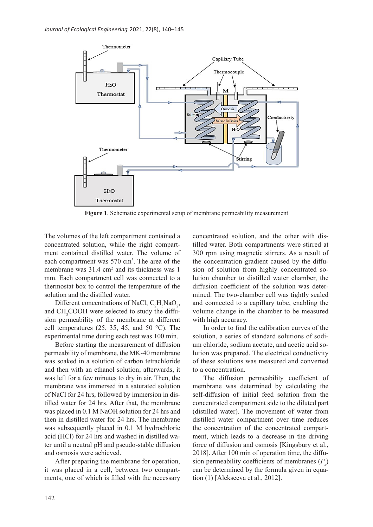

**Figure 1**. Schematic experimental setup of membrane permeability measurement

The volumes of the left compartment contained a concentrated solution, while the right compartment contained distilled water. The volume of each compartment was 570 cm<sup>3</sup>. The area of the membrane was 31.4 cm<sup>2</sup> and its thickness was 1 mm. Each compartment cell was connected to a thermostat box to control the temperature of the solution and the distilled water.

Different concentrations of NaCl,  $C_2H_3NaO_2$ , and CH<sub>3</sub>COOH were selected to study the diffusion permeability of the membrane at different cell temperatures (25, 35, 45, and 50  $^{\circ}$ C). The experimental time during each test was 100 min.

Before starting the measurement of diffusion permeability of membrane, the MK-40 membrane was soaked in a solution of carbon tetrachloride and then with an ethanol solution; afterwards, it was left for a few minutes to dry in air. Then, the membrane was immersed in a saturated solution of NaCl for 24 hrs, followed by immersion in distilled water for 24 hrs. After that, the membrane was placed in 0.1 M NaOH solution for 24 hrs and then in distilled water for 24 hrs. The membrane was subsequently placed in 0.1 M hydrochloric acid (HCl) for 24 hrs and washed in distilled water until a neutral pH and pseudo-stable diffusion and osmosis were achieved.

After preparing the membrane for operation, it was placed in a cell, between two compartments, one of which is filled with the necessary concentrated solution, and the other with distilled water. Both compartments were stirred at 300 rpm using magnetic stirrers. As a result of the concentration gradient caused by the diffusion of solution from highly concentrated solution chamber to distilled water chamber, the diffusion coefficient of the solution was determined. The two-chamber cell was tightly sealed and connected to a capillary tube, enabling the volume change in the chamber to be measured with high accuracy.

In order to find the calibration curves of the solution, a series of standard solutions of sodium chloride, sodium acetate, and acetic acid solution was prepared. The electrical conductivity of these solutions was measured and converted to a concentration.

The diffusion permeability coefficient of membrane was determined by calculating the self-diffusion of initial feed solution from the concentrated compartment side to the diluted part (distilled water). The movement of water from distilled water compartment over time reduces the concentration of the concentrated compartment, which leads to a decrease in the driving force of diffusion and osmosis [Kingsbury et al., 2018]. After 100 min of operation time, the diffusion permeability coefficients of membranes  $(P_s)$ can be determined by the formula given in equation (1) [Alekseeva et al., 2012].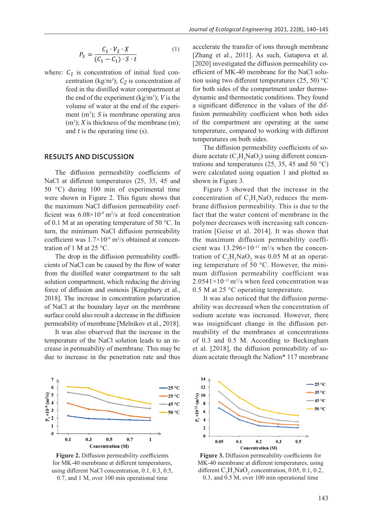$$
P_S = \frac{C_1 \cdot V_2 \cdot X}{(C_1 - C_1) \cdot S \cdot t} \tag{1}
$$

where:  $C_1$  is concentration of initial feed concentration (kg/m<sup>3</sup>);  $C_2$  is concentration of feed in the distilled water compartment at the end of the experiment  $(kg/m^3)$ ; *V* is the volume of water at the end of the experiment  $(m<sup>3</sup>)$ ; S is membrane operating area  $(m<sup>2</sup>)$ ; X is thickness of the membrane  $(m)$ ; and  $t$  is the operating time  $(s)$ .

#### **RESULTS AND DISCUSSION**

The diffusion permeability coefficients of NaCl at different temperatures (25, 35, 45 and 50 °C) during 100 min of experimental time were shown in Figure 2. This figure shows that the maximum NaCl diffusion permeability coefficient was  $6.08 \times 10^{-9}$  m<sup>2</sup>/s at feed concentration of 0.1 M at an operating temperature of 50 °C. In turn, the minimum NaCl diffusion permeability coefficient was  $1.7 \times 10^{-9}$  m<sup>2</sup>/s obtained at concentration of 1 M at 25 °C.

The drop in the diffusion permeability coefficients of NaCl can be caused by the flow of water from the distilled water compartment to the salt solution compartment, which reducing the driving force of diffusion and osmosis [Kingsbury et al., 2018]. The increase in concentration polarization of NaCl at the boundary layer on the membrane surface could also result a decrease in the diffusion permeability of membrane [Melnikov et al., 2018].

It was also observed that the increase in the temperature of the NaCl solution leads to an increase in permeability of membrane. This may be due to increase in the penetration rate and thus accelerate the transfer of ions through membrane [Zhang et al., 2011]. As such, Gatapova et al. [2020] investigated the diffusion permeability coefficient of MK-40 membrane for the NaCl solution using two different temperatures  $(25, 50)$  °C for both sides of the compartment under thermodynamic and thermostatic conditions. They found a significant difference in the values of the diffusion permeability coefficient when both sides of the compartment are operating at the same temperature, compared to working with different temperatures on both sides.

The diffusion permeability coefficients of sodium acetate  $(C_2H_3NaO_2)$  using different concentrations and temperatures (25, 35, 45 and 50  $^{\circ}$ C) were calculated using equation 1 and plotted as shown in Figure 3.

Figure 3 showed that the increase in the concentration of  $C_2H_3NaO_2$  reduces the membrane diffusion permeability. This is due to the fact that the water content of membrane in the polymer decreases with increasing salt concentration [Geise et al. 2014]. It was shown that the maximum diffusion permeability coefficient was  $13.296 \times 10^{-11}$  m<sup>2</sup>/s when the concentration of  $C_2H_3NaO_2$  was 0.05 M at an operating temperature of 50 °C. However, the minimum diffusion permeability coefficient was  $2.0541 \times 10^{-11}$  m<sup>2</sup>/s when feed concentration was 0.5 M at 25 °C operating temperature.

It was also noticed that the diffusion permeability was decreased when the concentration of sodium acetate was increased. However, there was insignificant change in the diffusion permeability of the membranes at concentrations of 0.3 and 0.5 M. According to Beckingham et al. [2018], the diffusion permeability of sodium acetate through the Nafion\* 117 membrane



**Figure 2.** Diffusion permeability coefficients for MK-40 membrane at different temperatures, using different NaCl concentration, 0.1, 0.3, 0.5, 0.7, and 1 M, over 100 min operational time



**Figure 3.** Diffusion permeability coefficients for MK-40 membrane at different temperatures, using different  $C_2H_3NaO_2$  concentration, 0.05, 0.1, 0.2, 0.3, and  $\overline{0.5}$  M, over 100 min operational time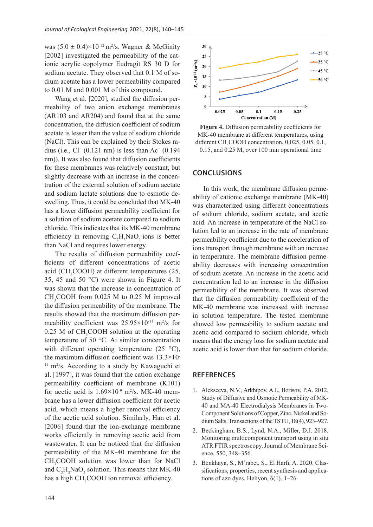was  $(5.0 \pm 0.4) \times 10^{-12}$  m<sup>2</sup>/s. Wagner & McGinity [2002] investigated the permeability of the cationic acrylic copolymer Eudragit RS 30 D for sodium acetate. They observed that 0.1 M of sodium acetate has a lower permeability compared to 0.01 M and 0.001 M of this compound.

Wang et al. [2020], studied the diffusion permeability of two anion exchange membranes (AR103 and AR204) and found that at the same concentration, the diffusion coefficient of sodium acetate is lesser than the value of sodium chloride (NaCl). This can be explained by their Stokes radius (i.e.,  $Cl^-(0.121 \text{ nm})$  is less than Ac<sup>−</sup> (0.194 nm)). It was also found that diffusion coefficients for these membranes was relatively constant, but slightly decrease with an increase in the concentration of the external solution of sodium acetate and sodium lactate solutions due to osmotic deswelling. Thus, it could be concluded that MK-40 has a lower diffusion permeability coefficient for a solution of sodium acetate compared to sodium chloride. This indicates that its MK-40 membrane efficiency in removing  $C_2H_3NaO_2$  ions is better than NaCl and requires lower energy.

The results of diffusion permeability coefficients of different concentrations of acetic acid (CH<sub>3</sub>COOH) at different temperatures  $(25, 12)$ 35, 45 and 50 °C) were shown in Figure 4. It was shown that the increase in concentration of  $CH<sub>3</sub>COOH$  from 0.025 M to 0.25 M improved the diffusion permeability of the membrane. The results showed that the maximum diffusion permeability coefficient was  $25.95 \times 10^{-11}$  m<sup>2</sup>/s for  $0.25$  M of CH<sub>3</sub>COOH solution at the operating temperature of 50 °C. At similar concentration with different operating temperature  $(25 \text{ °C})$ , the maximum diffusion coefficient was 13.3×10- <sup>11</sup> m<sup>2</sup>/s. According to a study by Kawaguchi et al. [1997], it was found that the cation exchange permeability coefficient of membrane (K101) for acetic acid is  $1.69 \times 10^{-9}$  m<sup>2</sup>/s. MK-40 membrane has a lower diffusion coefficient for acetic acid, which means a higher removal efficiency of the acetic acid solution. Similarly, Han et al. [2006] found that the ion-exchange membrane works efficiently in removing acetic acid from wastewater. It can be noticed that the diffusion permeability of the MK-40 membrane for the CH<sub>3</sub>COOH solution was lower than for NaCl and  $C_2H_3NaO_2$  solution. This means that MK-40 has a high  $\text{CH}_3\text{COOH}$  ion removal efficiency.



**Figure 4.** Diffusion permeability coefficients for MK-40 membrane at different temperatures, using different CH<sub>3</sub>COOH concentration, 0.025, 0.05, 0.1, 0.15, and 0.25 M, over 100 min operational time

#### **CONCLUSIONS**

In this work, the membrane diffusion permeability of cationic exchange membrane (MK-40) was characterized using different concentrations of sodium chloride, sodium acetate, and acetic acid. An increase in temperature of the NaCl solution led to an increase in the rate of membrane permeability coefficient due to the acceleration of ions transport through membrane with an increase in temperature. The membrane diffusion permeability decreases with increasing concentration of sodium acetate. An increase in the acetic acid concentration led to an increase in the diffusion permeability of the membrane. It was observed that the diffusion permeability coefficient of the MK-40 membrane was increased with increase in solution temperature. The tested membrane showed low permeability to sodium acetate and acetic acid compared to sodium chloride, which means that the energy loss for sodium acetate and acetic acid is lower than that for sodium chloride.

## **REFERENCES**

- 1. Alekseeva, N.V., Arkhipov, A.I., Borisov, P.A. 2012. Study of Diffusive and Osmotic Permeability of MK-40 and MA-40 Electrodialysis Membranes in Two-Component Solutions of Copper, Zinc, Nickel and Sodium Salts. Transactions of the TSTU, 18(4), 923–927.
- 2. Beckingham, B.S., Lynd, N.A., Miller, D.J. 2018. Monitoring multicomponent transport using in situ ATR FTIR spectroscopy. Journal of Membrane Science, 550, 348–356.
- 3. Benkhaya, S., M'rabet, S., El Harfi, A. 2020. Classifications, properties, recent synthesis and applications of azo dyes. Heliyon, 6(1), 1–26.